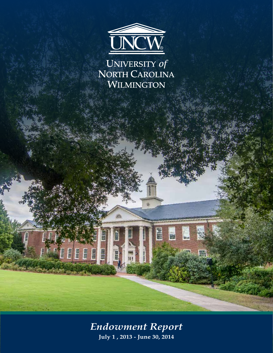

UNIVERSITY of<br>NORTH CAROLINA<br>WILMINGTON

*Endowment Report* **July 1 , 2013 - June 30, 2014**

**TELEE** 

INTER

H

E

链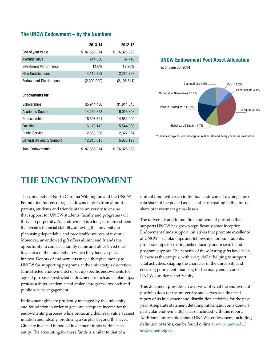#### **The UNCW Endowment – by the Numbers**

|                                | 2013-14      | 2012-13       |
|--------------------------------|--------------|---------------|
| End of year value              | \$87,865,374 | \$76,025,968  |
| <b>Average Value</b>           | 214,830      | 187,718       |
| Investment Performance         | 14.6%        | 12.90%        |
| <b>New Contributions</b>       | 4,118,753    | 2,284,233     |
| <b>Endowment Distributions</b> | (2,309,900)  | (2, 195, 641) |

#### **Endowments for:**

| Scholarships                      | 35,944,480 | 31,814,545   |
|-----------------------------------|------------|--------------|
| <b>Academic Support</b>           | 14,259.358 | 16,018,306   |
| Professorships                    | 16,598,391 | 14,682,090   |
| <b>Facilities</b>                 | 6,178,142  | 5,544,880    |
| <b>Public Service</b>             | 2,668,388  | 2,327,954    |
| <b>General University Support</b> | 12,216,615 | 5,638,193    |
| <b>Total Endowments</b>           | 87,865,374 | \$76,025,968 |

#### **UNCW Endowment Pool Asset Allocation**

as of June 30, 2014



\*\* Includes buyouts, venture capital, real estate and energy & natural resources.

# **THE UNCW ENDOWMENT**

The University of North Carolina Wilmington and the UNCW Foundation Inc. encourage endowment gifts from alumni, parents, students and friends of the university to ensure that support for UNCW students, faculty and programs will thrive in perpetuity. An endowment is a long-term investment that creates financial stability, allowing the university to plan using dependable and predictable sources of revenue. Moreover, an endowed gift offers alumni and friends the opportunity to connect a family name and other loved ones to an area of the university in which they have a special interest. Donors of endowments may either give money to UNCW for supporting programs at the university's discretion (unrestricted endowments) or set up specific endowments for agreed purposes (restricted endowments), such as scholarships, professorships, academic and athletic programs, research and public service engagement.

Endowment gifts are prudently managed by the university and foundation in order to generate adequate income for the endowments' purposes while protecting their real value against inflation and, ideally, producing a surplus beyond this level. Gifts are invested in pooled investment funds within each entity. The accounting for these funds is similar to that of a

mutual fund, with each individual endowment owning a prorata share of the pooled assets and participating in the pro-rata share of investment gains/losses.

The university and foundation endowment portfolio that supports UNCW has grown significantly since inception. Endowment funds support initiatives that promote excellence at UNCW – scholarships and fellowships for our students, professorships for distinguished faculty and research and program support. The benefits of these lasting gifts have been felt across the campus, with every dollar helping to support vital activities, shaping the character of the university and ensuring permanent financing for the many endeavors of UNCW's students and faculty.

This document provides an overview of what the endowment portfolio does for the university and serves as a financial report of its investment and distribution activities for the past year. A separate statement detailing information on a donor's particular endowment(s) is also included with this report. Additional information about UNCW's endowment, including definition of terms, can be found online at www.uncw.edu/ endowmentreport.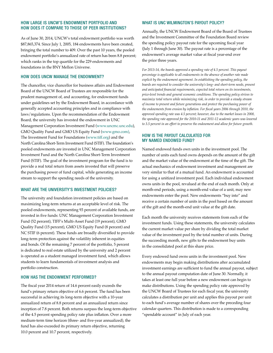#### HOW LARGE IS UNCW'S ENDOWMENT PORTFOLIO AND HOW DOES IT COMPARE TO THOSE OF PEER INSTITUTIONS?

As of June 30, 2014, UNCW's total endowment portfolio was worth \$87,865,374. Since July 1, 2005, 184 endowments have been created, bringing the total number to 409. Over the past 10 years, the pooled endowment portfolio's annualized rate of return has been 8.8 percent; which ranks in the top quartile for the 229 endowments and foundations in the BNY Mellon Universe.

#### HOW DOES UNCW MANAGE THE ENDOWMENT?

The chancellor, vice chancellor for business affairs and Endowment Board of the UNCW Board of Trustees are responsible for the prudent management of, and accounting, for endowment funds under guidelines set by the Endowment Board, in accordance with generally accepted accounting principles and in compliance with laws/regulations. Upon the recommendation of the Endowment Board, the university has invested the endowment in UNC Management Corporation Investment Fund (www.uncmc.unc.edu), GMO Quality Fund and GMO US Equity Fund (www.gmo.com), The Investment Fund for Foundations (www.tiff.org) and the North Carolina Short-Term Investment Fund (STIF). The foundation's pooled endowments are invested in UNC Management Corporation Investment Fund and the North Carolina Short-Term Investment Fund (STIF). The goal of the investment program for the fund is to provide a real total return from assets invested that will preserve the purchasing power of fund capital, while generating an income stream to support the spending needs of the university.

#### WHAT ARE THE UNIVERSITY'S INVESTMENT POLICIES?

The university and foundation investment policies are based on maximizing long-term returns at an acceptable level of risk. The pooled endowments, representing 93 percent of available funds, are invested in five funds: UNC Management Corporation Investment Fund (52 percent), TIFF's Multi-Asset Fund (19 percent), GMO Quality Fund (15 percent), GMO US Equity Fund (8 percent) and NC STIF (6 percent). These funds are broadly diversified to provide long-term protection against the volatility inherent in equities and bonds. Of the remaining 7 percent of the portfolio, 5 percent is dedicated to real estate utilized by the university and 2 percent is operated as a student managed investment fund, which allows students to learn fundamentals of investment analysis and portfolio construction.

#### HOW HAS THE ENDOWMENT PERFORMED?

The fiscal year 2014 return of 14.6 percent easily exceeds the fund's primary return objective of 6.6 percent. The fund has been successful in achieving its long-term objective with a 10-year annualized return of 8.8 percent and an annualized return since inception of 7.8 percent. Both returns surpass the long-term objective of the 4.5 percent spending policy rate plus inflation. Over a more medium-term time horizon (three- and five-year annualized), the fund has also exceeded its primary return objective, returning 10.0 percent and 10.7 percent, respectively.

#### WHAT IS UNC WILMINGTON'S PAYOUT POLICY?

Annually, the UNCW Endowment Board of the Board of Trustees and the Investment Committee of the Foundation Board review the spending policy payout rate for the upcoming fiscal year (July 1 through June 30). The payout rate is a percentage of the endowment's average market value at fiscal year-end over the prior three years.

*For 2013-14, the boards approved a spending rate of 4.5 percent. This payout percentage is applicable to all endowments in the absence of another rate made explicit by the endowment agreement. In establishing the spending policy, the boards are required to consider the university's long- and short-term needs, present and anticipated financial requirements, expected total return on its investments, price-level trends and general economic conditions. The spending policy strives to maximize total return while minimizing risk, in order to provide a steady stream of income to present and future generations and protect the purchasing power of the endowments from erosion by inflation. For fiscal years 2006 through 2010, the approved spending rate was 4.5 percent; however, due to the market losses in 2008, the spending rate approved for the 2010-11 and 2011-12 academic years was lowered to 3.5 percent in an effort to preserve the endowment and allow for future growth.* 

#### HOW IS THE PAYOUT CALCULATED FOR MY NAMED ENDOWED FUND?

Named endowed funds own units in the investment pool. The number of units each fund owns depends on the amount of the gift and the market value of the endowment at the time of the gift. The actual mechanics of endowment investment and management are very similar to that of a mutual fund. An endowment is accounted for using a unitized investment pool. Each individual endowment owns units in the pool, revalued at the end of each month. Only at month-end periods, using a month-end value of a unit, may new endowments enter the pool. New endowments "buy into" and receive a certain number of units in the pool based on the amount of the gift and the month-end unit value at the gift date.

Each month the university receives statements from each of the investment funds. Using these statements, the university calculates the current market value per share by dividing the total market value of the investment pool by the total number of units. During the succeeding month, new gifts to the endowment buy units in the consolidated pool at this share price.

Every endowed fund owns units in the investment pool. New endowments may begin making distributions after accumulated investment earnings are sufficient to fund the annual payout, subject to the annual payout computation date of June 30. Normally, it takes at least one full year before a new endowment can begin to make distributions. Using the spending policy rate approved by the UNCW Board of Trustees for each fiscal year, the university calculates a distribution per unit and applies this payout per unit to each fund's average number of shares over the preceding four calendar quarters. This distribution is made to a corresponding "spendable account" in July of each year.